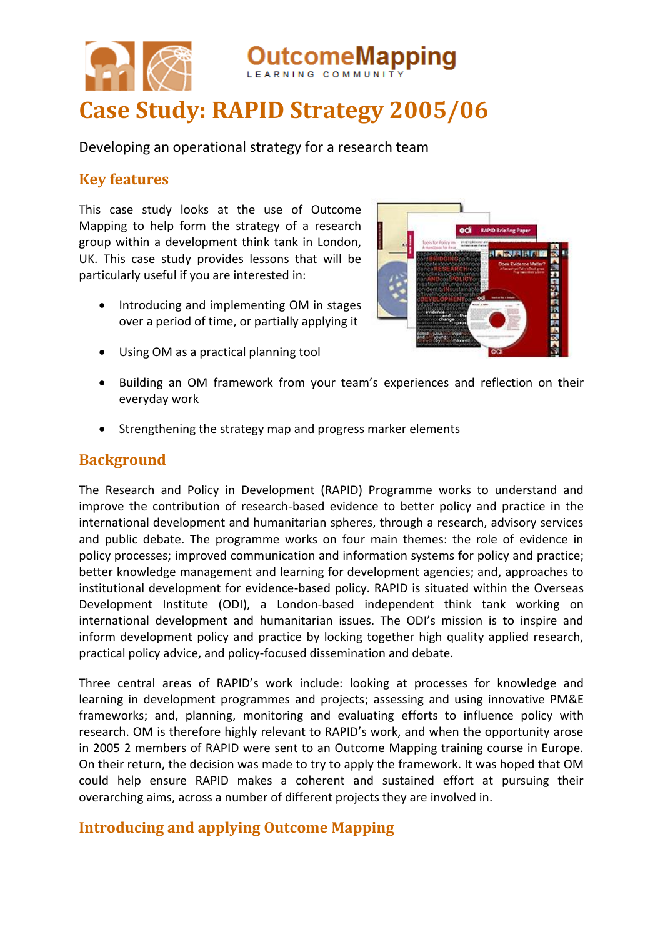

Developing an operational strategy for a research team

### **Key features**

This case study looks at the use of Outcome Mapping to help form the strategy of a research group within a development think tank in London, UK. This case study provides lessons that will be particularly useful if you are interested in:

• Introducing and implementing OM in stages over a period of time, or partially applying it



- Using OM as a practical planning tool
- Building an OM framework from your team's experiences and reflection on their everyday work
- Strengthening the strategy map and progress marker elements

## **Background**

The Research and Policy in Development (RAPID) Programme works to understand and improve the contribution of research-based evidence to better policy and practice in the international development and humanitarian spheres, through a research, advisory services and public debate. The programme works on four main themes: the role of evidence in policy processes; improved communication and information systems for policy and practice; better knowledge management and learning for development agencies; and, approaches to institutional development for evidence-based policy. RAPID is situated within the Overseas Development Institute (ODI), a London-based independent think tank working on international development and humanitarian issues. The ODI's mission is to inspire and inform development policy and practice by locking together high quality applied research, practical policy advice, and policy-focused dissemination and debate.

Three central areas of RAPID's work include: looking at processes for knowledge and learning in development programmes and projects; assessing and using innovative PM&E frameworks; and, planning, monitoring and evaluating efforts to influence policy with research. OM is therefore highly relevant to RAPID's work, and when the opportunity arose in 2005 2 members of RAPID were sent to an Outcome Mapping training course in Europe. On their return, the decision was made to try to apply the framework. It was hoped that OM could help ensure RAPID makes a coherent and sustained effort at pursuing their overarching aims, across a number of different projects they are involved in.

# **Introducing and applying Outcome Mapping**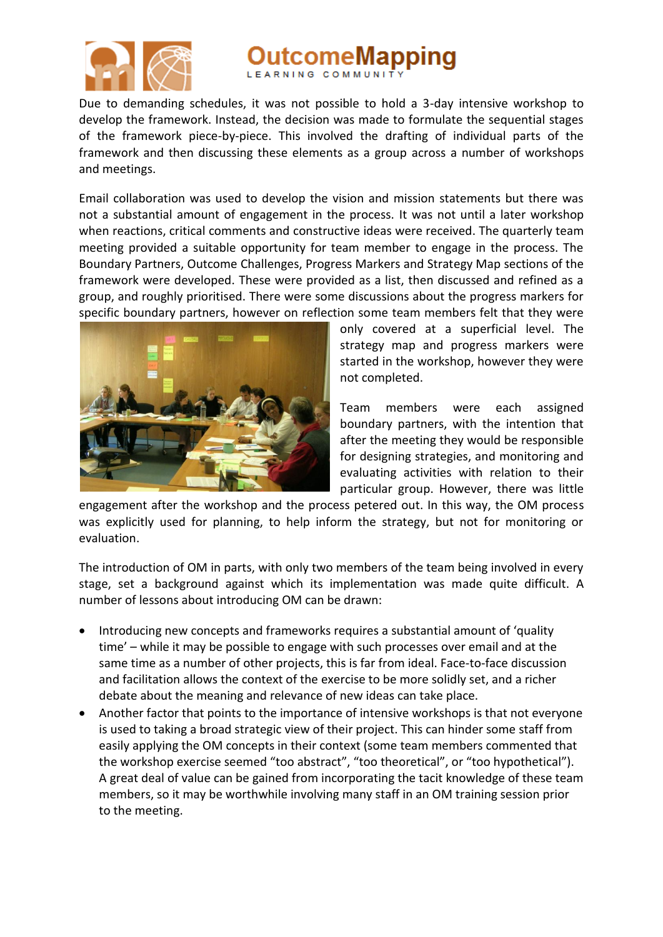

comeMapping

Due to demanding schedules, it was not possible to hold a 3-day intensive workshop to develop the framework. Instead, the decision was made to formulate the sequential stages of the framework piece-by-piece. This involved the drafting of individual parts of the framework and then discussing these elements as a group across a number of workshops and meetings.

Email collaboration was used to develop the vision and mission statements but there was not a substantial amount of engagement in the process. It was not until a later workshop when reactions, critical comments and constructive ideas were received. The quarterly team meeting provided a suitable opportunity for team member to engage in the process. The Boundary Partners, Outcome Challenges, Progress Markers and Strategy Map sections of the framework were developed. These were provided as a list, then discussed and refined as a group, and roughly prioritised. There were some discussions about the progress markers for specific boundary partners, however on reflection some team members felt that they were



only covered at a superficial level. The strategy map and progress markers were started in the workshop, however they were not completed.

Team members were each assigned boundary partners, with the intention that after the meeting they would be responsible for designing strategies, and monitoring and evaluating activities with relation to their particular group. However, there was little

engagement after the workshop and the process petered out. In this way, the OM process was explicitly used for planning, to help inform the strategy, but not for monitoring or evaluation.

The introduction of OM in parts, with only two members of the team being involved in every stage, set a background against which its implementation was made quite difficult. A number of lessons about introducing OM can be drawn:

- Introducing new concepts and frameworks requires a substantial amount of 'quality time' – while it may be possible to engage with such processes over email and at the same time as a number of other projects, this is far from ideal. Face-to-face discussion and facilitation allows the context of the exercise to be more solidly set, and a richer debate about the meaning and relevance of new ideas can take place.
- Another factor that points to the importance of intensive workshops is that not everyone is used to taking a broad strategic view of their project. This can hinder some staff from easily applying the OM concepts in their context (some team members commented that the workshop exercise seemed "too abstract", "too theoretical", or "too hypothetical"). A great deal of value can be gained from incorporating the tacit knowledge of these team members, so it may be worthwhile involving many staff in an OM training session prior to the meeting.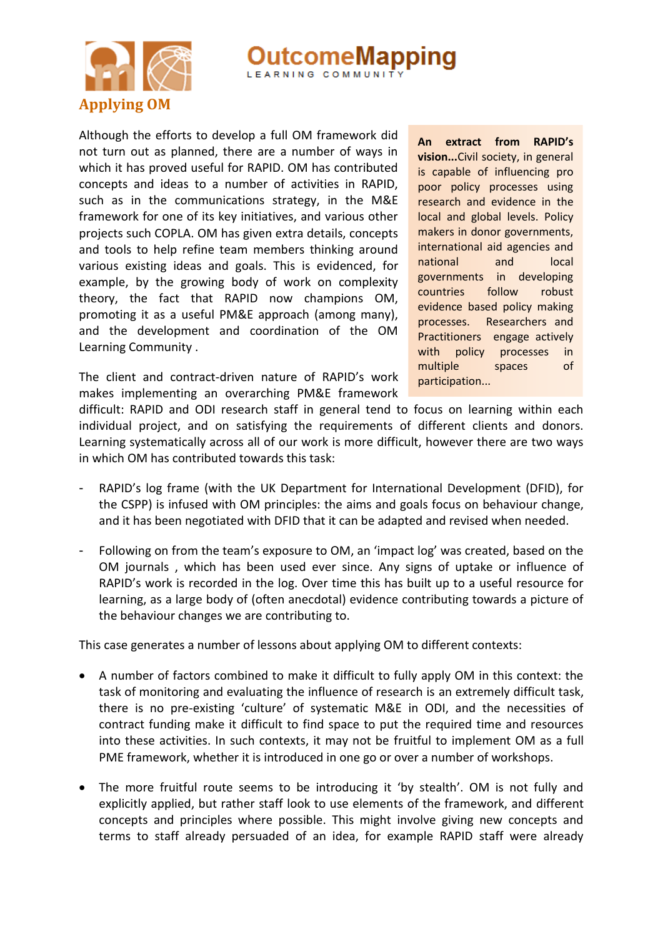

LEARNING COMMUNIT

Although the efforts to develop a full OM framework did not turn out as planned, there are a number of ways in which it has proved useful for RAPID. OM has contributed concepts and ideas to a number of activities in RAPID, such as in the communications strategy, in the M&E framework for one of its key initiatives, and various other projects such COPLA. OM has given extra details, concepts and tools to help refine team members thinking around various existing ideas and goals. This is evidenced, for example, by the growing body of work on complexity theory, the fact that RAPID now champions OM, promoting it as a useful PM&E approach (among many), and the development and coordination of the OM Learning Community .

The client and contract-driven nature of RAPID's work makes implementing an overarching PM&E framework

**An extract from RAPID's vision...**Civil society, in general is capable of influencing pro poor policy processes using research and evidence in the local and global levels. Policy makers in donor governments, international aid agencies and national and local governments in developing countries follow robust evidence based policy making processes. Researchers and Practitioners engage actively with policy processes in multiple spaces of participation...

difficult: RAPID and ODI research staff in general tend to focus on learning within each individual project, and on satisfying the requirements of different clients and donors. Learning systematically across all of our work is more difficult, however there are two ways in which OM has contributed towards this task:

- RAPID's log frame (with the UK Department for International Development (DFID), for the CSPP) is infused with OM principles: the aims and goals focus on behaviour change, and it has been negotiated with DFID that it can be adapted and revised when needed.
- Following on from the team's exposure to OM, an 'impact log' was created, based on the OM journals , which has been used ever since. Any signs of uptake or influence of RAPID's work is recorded in the log. Over time this has built up to a useful resource for learning, as a large body of (often anecdotal) evidence contributing towards a picture of the behaviour changes we are contributing to.

This case generates a number of lessons about applying OM to different contexts:

- A number of factors combined to make it difficult to fully apply OM in this context: the task of monitoring and evaluating the influence of research is an extremely difficult task, there is no pre-existing 'culture' of systematic M&E in ODI, and the necessities of contract funding make it difficult to find space to put the required time and resources into these activities. In such contexts, it may not be fruitful to implement OM as a full PME framework, whether it is introduced in one go or over a number of workshops.
- The more fruitful route seems to be introducing it 'by stealth'. OM is not fully and explicitly applied, but rather staff look to use elements of the framework, and different concepts and principles where possible. This might involve giving new concepts and terms to staff already persuaded of an idea, for example RAPID staff were already